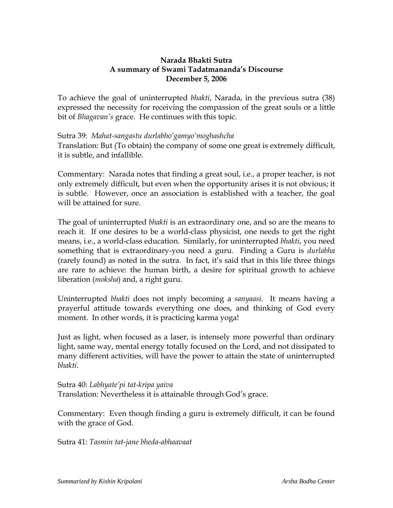## **Narada Bhakti Sutra A summary of Swami Tadatmananda's Discourse December 5, 2006**

To achieve the goal of uninterrupted *bhakti*, Narada, in the previous sutra (38) expressed the necessity for receiving the compassion of the great souls or a little bit of *Bhagavan's* grace. He continues with this topic.

## Sutra 39: *Mahat-sangastu durlabho'gamyo'moghashcha*

Translation: But (To obtain) the company of some one great is extremely difficult, it is subtle, and infallible.

Commentary: Narada notes that finding a great soul, i.e., a proper teacher, is not only extremely difficult, but even when the opportunity arises it is not obvious; it is subtle. However, once an association is established with a teacher, the goal will be attained for sure.

The goal of uninterrupted *bhakti* is an extraordinary one, and so are the means to reach it. If one desires to be a world-class physicist, one needs to get the right means, i.e., a world-class education. Similarly, for uninterrupted *bhakti*, you need something that is extraordinary-you need a guru. Finding a Guru is *durlabha* (rarely found) as noted in the sutra. In fact, it's said that in this life three things are rare to achieve: the human birth, a desire for spiritual growth to achieve liberation (*moksha*) and, a right guru.

Uninterrupted *bhakti* does not imply becoming a *sanyaasi*. It means having a prayerful attitude towards everything one does, and thinking of God every moment. In other words, it is practicing karma yoga!

Just as light, when focused as a laser, is intensely more powerful than ordinary light, same way, mental energy totally focused on the Lord, and not dissipated to many different activities, will have the power to attain the state of uninterrupted *bhakti*.

Sutra 40: *Labhyate'pi tat-kripa yaiva* Translation: Nevertheless it is attainable through God's grace.

Commentary: Even though finding a guru is extremely difficult, it can be found with the grace of God.

Sutra 41: *Tasmin tat-jane bheda-abhaavaat*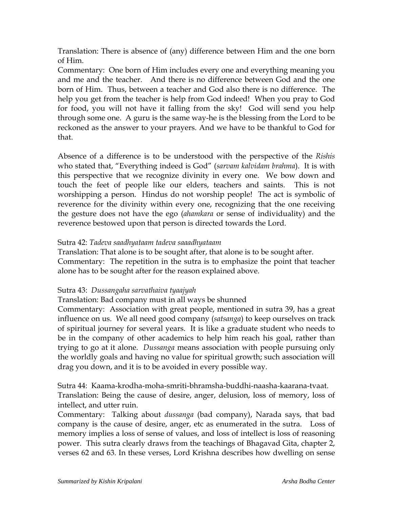Translation: There is absence of (any) difference between Him and the one born of Him.

Commentary: One born of Him includes every one and everything meaning you and me and the teacher. And there is no difference between God and the one born of Him. Thus, between a teacher and God also there is no difference. The help you get from the teacher is help from God indeed! When you pray to God for food, you will not have it falling from the sky! God will send you help through some one. A guru is the same way-he is the blessing from the Lord to be reckoned as the answer to your prayers. And we have to be thankful to God for that.

Absence of a difference is to be understood with the perspective of the *Rishis* who stated that, "Everything indeed is God" (*sarvam kalvidam brahma*). It is with this perspective that we recognize divinity in every one. We bow down and touch the feet of people like our elders, teachers and saints. This is not worshipping a person. Hindus do not worship people! The act is symbolic of reverence for the divinity within every one, recognizing that the one receiving the gesture does not have the ego (*ahamkara* or sense of individuality) and the reverence bestowed upon that person is directed towards the Lord.

## Sutra 42: *Tadeva saadhyataam tadeva saaadhyataam*

Translation: That alone is to be sought after, that alone is to be sought after. Commentary: The repetition in the sutra is to emphasize the point that teacher alone has to be sought after for the reason explained above.

## Sutra 43: *Dussangaha sarvathaiva tyaajyah*

Translation: Bad company must in all ways be shunned

Commentary: Association with great people, mentioned in sutra 39, has a great influence on us. We all need good company (*satsanga*) to keep ourselves on track of spiritual journey for several years. It is like a graduate student who needs to be in the company of other academics to help him reach his goal, rather than trying to go at it alone. *Dussanga* means association with people pursuing only the worldly goals and having no value for spiritual growth; such association will drag you down, and it is to be avoided in every possible way.

Sutra 44: Kaama-krodha-moha-smriti-bhramsha-buddhi-naasha-kaarana-tvaat. Translation: Being the cause of desire, anger, delusion, loss of memory, loss of intellect, and utter ruin.

Commentary: Talking about *dussanga* (bad company), Narada says, that bad company is the cause of desire, anger, etc as enumerated in the sutra. Loss of memory implies a loss of sense of values, and loss of intellect is loss of reasoning power. This sutra clearly draws from the teachings of Bhagavad Gita, chapter 2, verses 62 and 63. In these verses, Lord Krishna describes how dwelling on sense